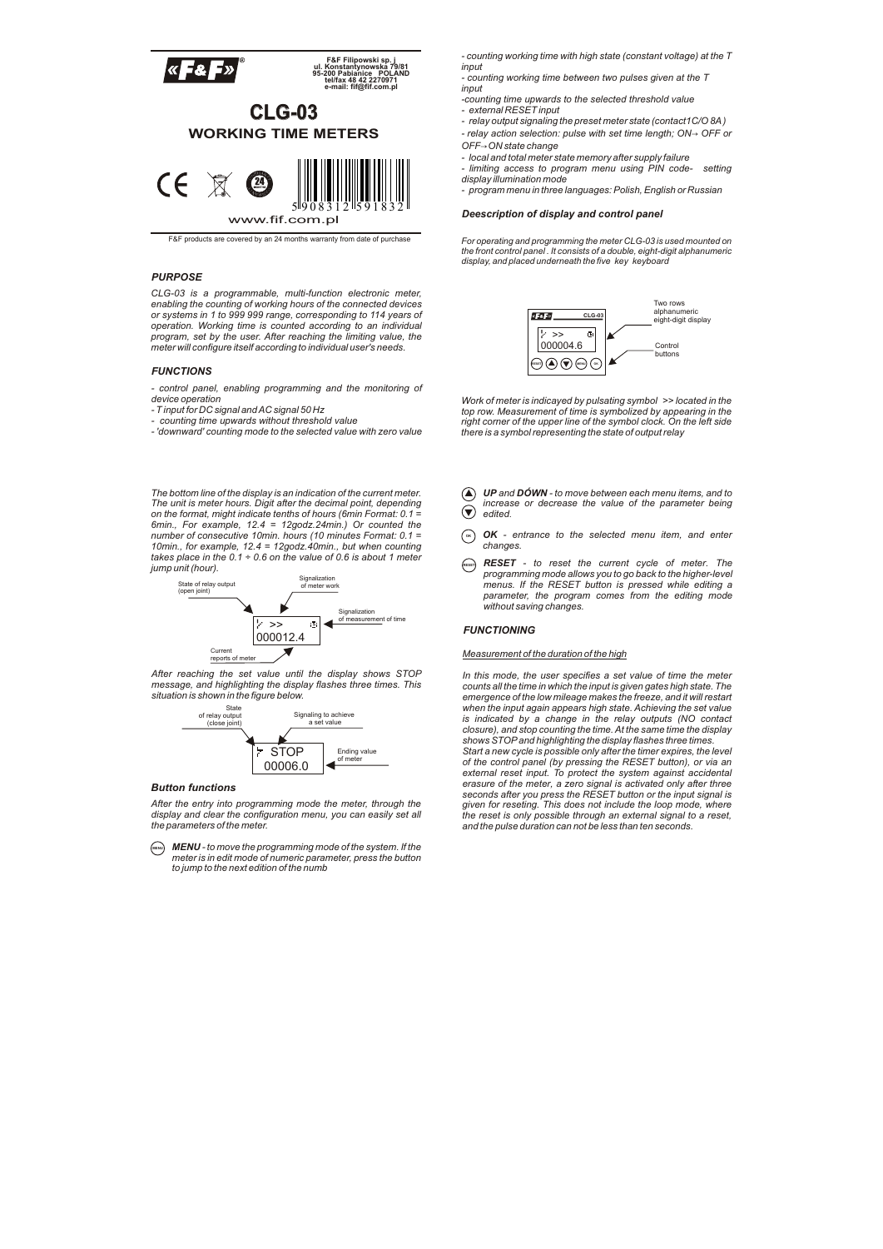

F&F products are covered by an 24 months warranty from date of purchase

## *PURPOSE*

CLG-03 is a programmable, multi-function electronic meter,<br>enabling the counting of working hours of the connected devices<br>or systems in 1 to 999 999 range, corresponding to 114 years of<br>operation. Working time is counted *program, set by the user. After reaching the limiting value, the meter will configure itself according to individual user's needs.*

## *FUNCTIONS*

*- control panel, enabling programming and the monitoring of device operation*

- *T input for DC signal and AC signal 50 Hz - counting time upwards without threshold value*
- *'downward' counting mode to the selected value with zero value*

*The bottom line of the display is an indication of the current meter. The unit is meter hours. Digit after the decimal point, depending on the format, might indicate tenths of hours (6min Format: 0.1 = 6min., For example, 12.4 = 12godz.24min.) Or counted the number of consecutive 10min. hours (10 minutes Format: 0.1 = 10min., for example, 12.4 = 12godz.40min., but when counting takes place in the 0.1 ÷ 0.6 on the value of 0.6 is about 1 meter jump unit (hour).*



*After reaching the set value until the display shows STOP message, and highlighting the display flashes three times. This situation is shown in the figure below.*



## *Button functions*

*After the entry into programming mode the meter, through the display and clear the configuration menu, you can easily set all the parameters of the meter.*

**MENU** *MENU - to move the programming mode of the system. If the meter is in edit mode of numeric parameter, press the button to jump to the next edition of the numb*

- *counting working time with high state (constant voltage) at the T*
- *input - counting working time between two pulses given at the T*
- *input*
- *-counting time upwards to the selected threshold value - external RESET input*
- *relay output signaling the preset meter state (contact1C/O 8A)*
- *relay action selection: pulse with set time length; ON*→ *OFF or OFF*→*ON state change*
- 
- *local and total meter state memory after supply failure limiting access to program menu using PIN code- setting display illumination mode*
- *program menu in three languages: Polish, English or Russian*

#### *Deescription of display and control panel*

*For operating and programming the meter CLG-03 is used mounted on the front control panel . It consists of a double, eight-digit alphanumeric display, and placed underneath the five key keyboard*



*Work of meter is indicayed by pulsating symbol >> located in the top row. Measurement of time is symbolized by appearing in the right corner of the upper line of the symbol clock. On the left side there is a symbol representing the state of output relay*

- p *UP and DÓWN to move between each menu items, and to*  q *edited. increase or decrease the value of the parameter being*
- *OK - entrance to the selected menu item, and enter changes.* **OK**
- **RESET** *RESET - to reset the current cycle of meter. The programming mode allows you to go back to the higher-level menus. If the RESET button is pressed while editing a parameter, the program comes from the editing mode without saving changes.*

#### *FUNCTIONING*

#### *Measurement of the duration of the high*

*In this mode, the user specifies a set value of time the meter counts all the time in which the input is given gates high state. The emergence of the low mileage makes the freeze, and it will restart when the input again appears high state. Achieving the set value is indicated by a change in the relay outputs (NO contact closure), and stop counting the time. At the same time the display shows STOPand highlighting the display flashes three times. Start a new cycle is possible only after the timer expires, the level of the control panel (by pressing the RESET button), or via an external reset input. To protect the system against accidental erasure of the meter, a zero signal is activated only after three seconds after you press the RESET button or the input signal is given for reseting. This does not include the loop mode, where the reset is only possible through an external signal to a reset, and the pulse duration can not be less than ten seconds.*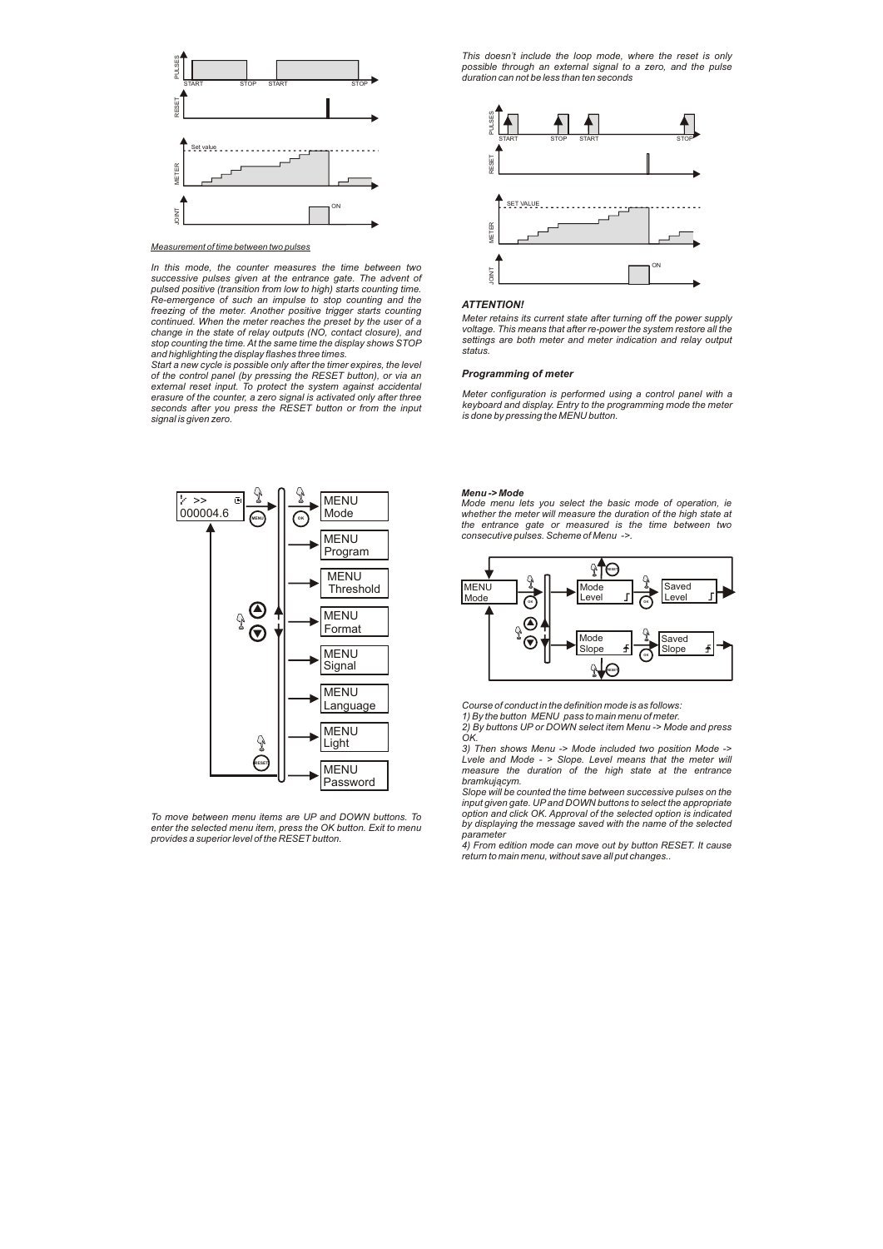

*Measurement of time between two pulses*

*In this mode, the counter measures the time between two successive pulses given at the entrance gate. The advent of pulsed positive (transition from low to high) starts counting time. Re-emergence of such an impulse to stop counting and the freezing of the meter. Another positive trigger starts counting continued. When the meter reaches the preset by the user of a change in the state of relay outputs (NO, contact closure), and stop counting the time. At the same time the display shows STOP and highlighting the display flashes three times.*

*Start a new cycle is possible only after the timer expires, the level of the control panel (by pressing the RESET button), or via an external reset input. To protect the system against accidental erasure of the counter, a zero signal is activated only after three seconds after you press the RESET button or from the input signal is given zero.*



*To move between menu items are UP and DOWN buttons. To enter the selected menu item, press the OK button. Exit to menu provides a superior level of the RESET button.*

*This doesn't include the loop mode, where the reset is only possible through an external signal to a zero, and the pulse duration can not be less than ten seconds*



## *ATTENTION!*

*Meter retains its current state after turning off the power supply voltage. This means that after re-power the system restore all the settings are both meter and meter indication and relay output status.*

## *Programming of meter*

*Meter configuration is performed using a control panel with a keyboard and display. Entry to the programming mode the meter is done by pressing the MENU button.*

#### *Menu -> Mode*

*Mode menu lets you select the basic mode of operation, ie whether the meter will measure the duration of the high state at the entrance gate or measured is the time between two consecutive pulses. Scheme of Menu ->.*



*Course of conduct in the definition mode is as follows: 1) By the button MENU pass to main menu of meter.*

*2) By buttons UP or DOWN select item Menu -> Mode and press* 

*OK.*

*3) Then shows Menu -> Mode included two position Mode -> Lvele and Mode - > Slope. Level means that the meter will measure the duration of the high state at the entrance bramkującym.*

*Slope will be counted the time between successive pulses on the input given gate. UPand DOWN buttons to select the appropriate option and click OK. Approval of the selected option is indicated by displaying the message saved with the name of the selected parameter*

*4) From edition mode can move out by button RESET. It cause return to main menu, without save all put changes..*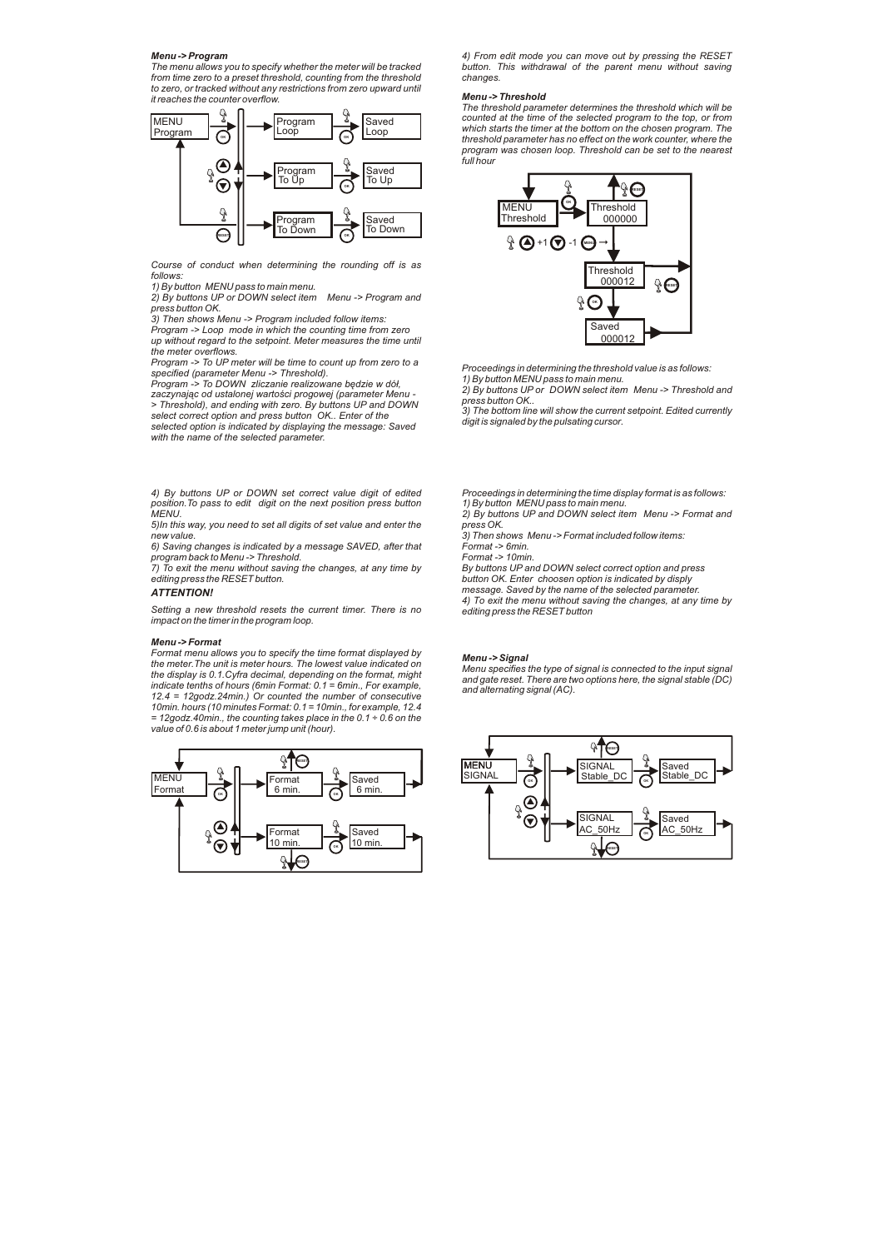*Menu -> Program The menu allows you to specify whether the meter will be tracked from time zero to a preset threshold, counting from the threshold to zero, or tracked without any restrictions from zero upward until it reaches the counter overflow.*



*Course of conduct when determining the rounding off is as follows:*

*1) By button MENU pass to main menu.*

*2) By buttons UP or DOWN select item Menu -> Program and press button OK.*

*3) Then shows Menu -> Program included follow items: Program -> Loop mode in which the counting time from zero* 

*up without regard to the setpoint. Meter measures the time until the meter overflows.* 

*Program -> To UP meter will be time to count up from zero to a specified (parameter Menu -> Threshold).*

*Program -> To DOWN zliczanie realizowane będzie w dół, zaczynając od ustalonej wartości progowej (parameter Menu -*

*> Threshold), and ending with zero. By buttons UP and DOWN select correct option and press button OK.. Enter of the selected option is indicated by displaying the message: Saved* 

*with the name of the selected parameter.*

*4) By buttons UP or DOWN set correct value digit of edited position.To pass to edit digit on the next position press button MENU.*

*5)In this way, you need to set all digits of set value and enter the new value.*

*6) Saving changes is indicated by a message SAVED, after that program back to Menu -> Threshold. 7) To exit the menu without saving the changes, at any time by* 

*editing press the RESET button.*

# *ATTENTION!*

*Setting a new threshold resets the current timer. There is no impact on the timer in the program loop.*

#### *Menu -> Format*

*Format menu allows you to specify the time format displayed by the meter.The unit is meter hours. The lowest value indicated on the display is 0.1.Cyfra decimal, depending on the format, might indicate tenths of hours (6min Format: 0.1 = 6min., For example, 12.4 = 12godz.24min.) Or counted the number of consecutive 10min. hours (10 minutes Format: 0.1 = 10min., for example, 12.4 = 12godz.40min., the counting takes place in the 0.1 ÷ 0.6 on the value of 0.6 is about 1 meter jump unit (hour).*



*4) From edit mode you can move out by pressing the RESET button. This withdrawal of the parent menu without saving changes.*

### *Menu -> Threshold*

*The threshold parameter determines the threshold which will be counted at the time of the selected program to the top, or from which starts the timer at the bottom on the chosen program. The threshold parameter has no effect on the work counter, where the program was chosen loop. Threshold can be set to the nearest full hour*



*Proceedings in determining the threshold value is as follows: 1) By button MENU pass to main menu. 2) By buttons UP or DOWN select item Menu -> Threshold and* 

*press button OK..* 

*3) The bottom line will show the current setpoint. Edited currently digit is signaled by the pulsating cursor.*

*Proceedings in determining the time display format is as follows: 1) By button MENU pass to main menu.*

*2) By buttons UP and DOWN select item Menu -> Format and press OK.* 

*3) Then shows Menu -> Format included follow items: Format -> 6min.*

*Format -> 10min.*

*By buttons UP and DOWN select correct option and press button OK. Enter choosen option is indicated by disply* 

*message. Saved by the name of the selected parameter. 4) To exit the menu without saving the changes, at any time by editing press the RESET button*

## *Menu -> Signal*

*Menu specifies the type of signal is connected to the input signal and gate reset. There are two options here, the signal stable (DC) and alternating signal (AC).*

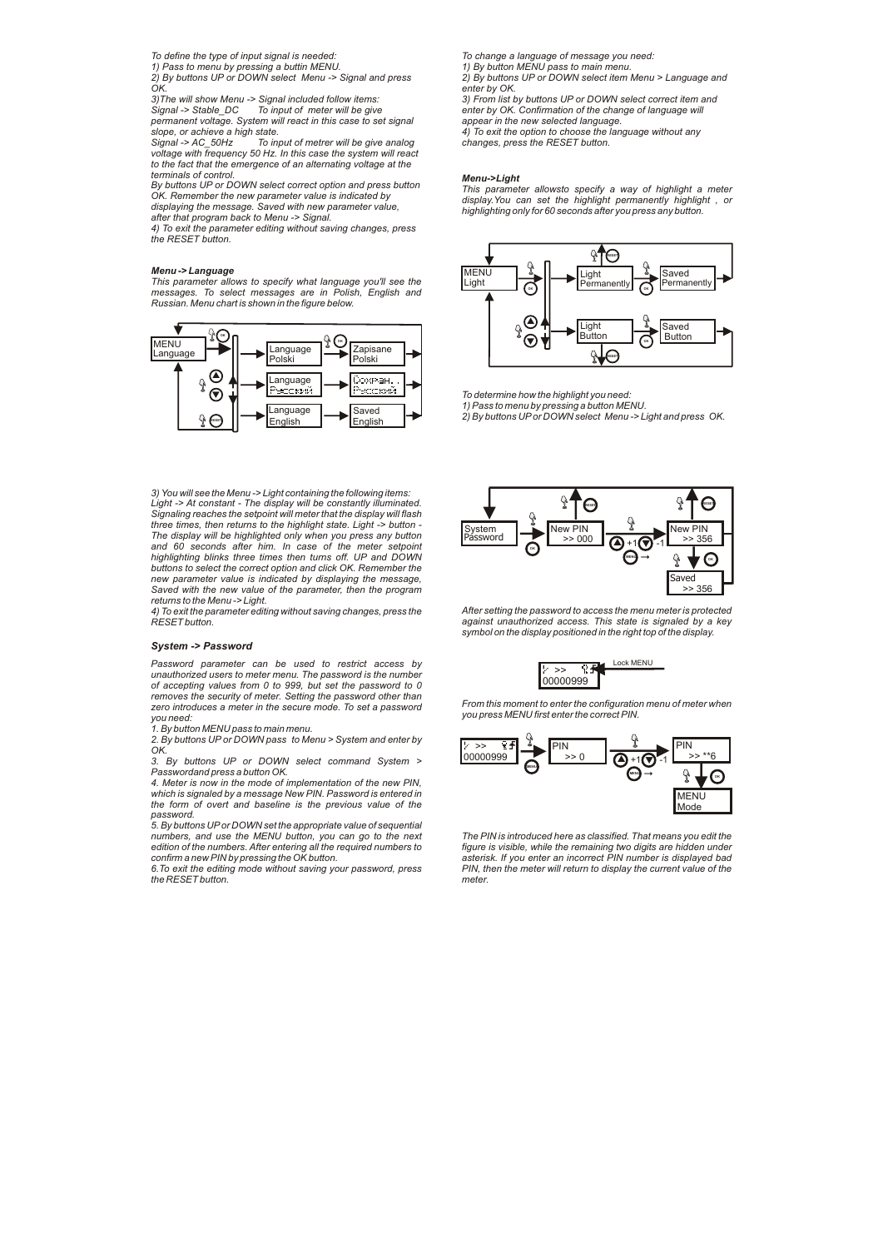*To define the type of input signal is needed: 1) Pass to menu by pressing a buttin MENU.*

*2) By buttons UP or DOWN select Menu -> Signal and press* 

*OK. 3)The will show Menu -> Signal included follow items: Signal -> Stable\_DC To input of meter will be give permanent voltage. System will react in this case to set signal* 

*slope, or achieve a high state. Signal -> AC\_50Hz To input of metrer will be give analog voltage with frequency 50 Hz. In this case the system will react to the fact that the emergence of an alternating voltage at the terminals of control.*

By buttons UP or DOWN select correct option and press button<br>OK. Remember the new parameter value is indicated by<br>displaying the message. Saved with new parameter value,<br>after that program back to Menu -> Signal.

*4) To exit the parameter editing without saving changes, press the RESET button.*

### *Menu -> Language*

*This parameter allows to specify what language you'll see the messages. To select messages are in Polish, English and Russian. Menu chart is shown in the figure below.*



*3) You will see the Menu -> Light containing the following items: Light -> At constant - The display will be constantly illuminated. Signaling reaches the setpoint will meter that the display will flash three times, then returns to the highlight state. Light -> button - The display will be highlighted only when you press any button and 60 seconds after him. In case of the meter setpoint highlighting blinks three times then turns off. UP and DOWN buttons to select the correct option and click OK. Remember the new parameter value is indicated by displaying the message, Saved with the new value of the parameter, then the program returns to the Menu -> Light.*

*4) To exit the parameter editing without saving changes, press the RESET button.*

## *System -> Password*

*Password parameter can be used to restrict access by unauthorized users to meter menu. The password is the number of accepting values from 0 to 999, but set the password to 0 removes the security of meter. Setting the password other than zero introduces a meter in the secure mode. To set a password you need: 1. By button MENU pass to main menu.*

*2. By buttons UP or DOWN pass to Menu > System and enter by OK.*

*3. By buttons UP or DOWN select command System > Passwordand press a button OK.* 

*4. Meter is now in the mode of implementation of the new PIN, which is signaled by a message New PIN. Password is entered in the form of overt and baseline is the previous value of the password.*

*5. By buttons UPor DOWN set the appropriate value of sequential numbers, and use the MENU button, you can go to the next edition of the numbers. After entering all the required numbers to confirm a new PIN by pressing the OK button.*

*6.To exit the editing mode without saving your password, press the RESET button.*

*To change a language of message you need: 1) By button MENU pass to main menu.*

*2) By buttons UP or DOWN select item Menu > Language and enter by OK.*

*3) From list by buttons UP or DOWN select correct item and enter by OK. Confirmation of the change of language will appear in the new selected language. 4) To exit the option to choose the language without any changes, press the RESET button.*

#### *Menu->Light*

*This parameter allowsto specify a way of highlight a meter display.You can set the highlight permanently highlight , or highlighting only for 60 seconds after you press any button.*



*To determine how the highlight you need:*

*1) Pass to menu by pressing a button MENU. 2) By buttons UPor DOWN select Menu -> Light and press OK.*



*After setting the password to access the menu meter is protected against unauthorized access. This state is signaled by a key symbol on the display positioned in the right top of the display.*



*From this moment to enter the configuration menu of meter when you press MENU first enter the correct PIN.*



*The PIN is introduced here as classified. That means you edit the figure is visible, while the remaining two digits are hidden under asterisk. If you enter an incorrect PIN number is displayed bad PIN, then the meter will return to display the current value of the meter.*